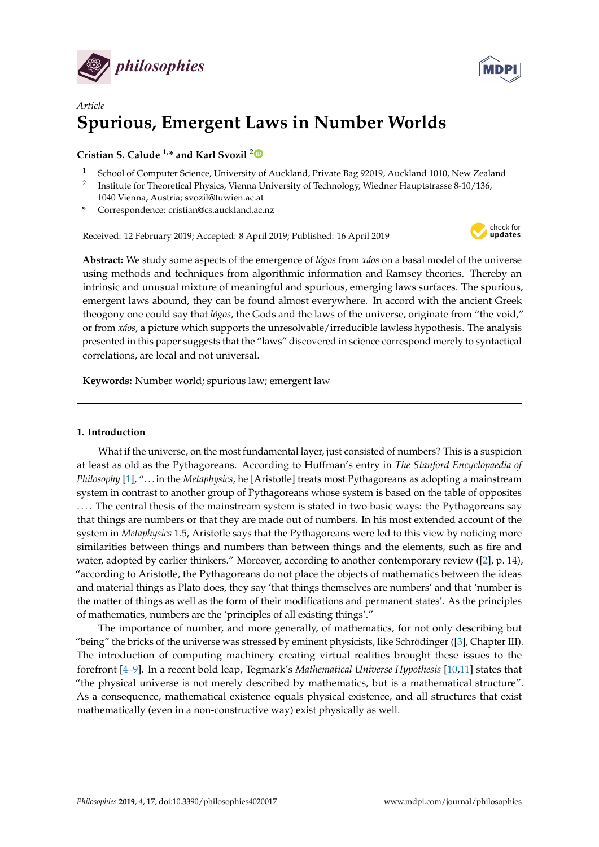



# *Article* **Spurious, Emergent Laws in Number Worlds**

# **Cristian S. Calude 1,\* and Karl Svozil [2](https://orcid.org/0000-0001-6554-2802)**

- <sup>1</sup> School of Computer Science, University of Auckland, Private Bag 92019, Auckland 1010, New Zealand
- 2 Institute for Theoretical Physics, Vienna University of Technology, Wiedner Hauptstrasse 8-10/136, 1040 Vienna, Austria; svozil@tuwien.ac.at
- **\*** Correspondence: cristian@cs.auckland.ac.nz

Received: 12 February 2019; Accepted: 8 April 2019; Published: 16 April 2019



**Abstract:** We study some aspects of the emergence of *lógos* from *xáos* on a basal model of the universe using methods and techniques from algorithmic information and Ramsey theories. Thereby an intrinsic and unusual mixture of meaningful and spurious, emerging laws surfaces. The spurious, emergent laws abound, they can be found almost everywhere. In accord with the ancient Greek theogony one could say that *lógos*, the Gods and the laws of the universe, originate from "the void," or from *xáos*, a picture which supports the unresolvable/irreducible lawless hypothesis. The analysis presented in this paper suggests that the "laws" discovered in science correspond merely to syntactical correlations, are local and not universal.

**Keywords:** Number world; spurious law; emergent law

# **1. Introduction**

What if the universe, on the most fundamental layer, just consisted of numbers? This is a suspicion at least as old as the Pythagoreans. According to Huffman's entry in *The Stanford Encyclopaedia of Philosophy* [\[1\]](#page-9-0), ". . . in the *Metaphysics*, he [Aristotle] treats most Pythagoreans as adopting a mainstream system in contrast to another group of Pythagoreans whose system is based on the table of opposites .... The central thesis of the mainstream system is stated in two basic ways: the Pythagoreans say that things are numbers or that they are made out of numbers. In his most extended account of the system in *Metaphysics* 1.5, Aristotle says that the Pythagoreans were led to this view by noticing more similarities between things and numbers than between things and the elements, such as fire and water, adopted by earlier thinkers." Moreover, according to another contemporary review ([\[2\]](#page-9-1), p. 14), "according to Aristotle, the Pythagoreans do not place the objects of mathematics between the ideas and material things as Plato does, they say 'that things themselves are numbers' and that 'number is the matter of things as well as the form of their modifications and permanent states'. As the principles of mathematics, numbers are the 'principles of all existing things'."

The importance of number, and more generally, of mathematics, for not only describing but "being" the bricks of the universe was stressed by eminent physicists, like Schrödinger ([\[3\]](#page-9-2), Chapter III). The introduction of computing machinery creating virtual realities brought these issues to the forefront [\[4](#page-9-3)[–9\]](#page-9-4). In a recent bold leap, Tegmark's *Mathematical Universe Hypothesis* [\[10,](#page-9-5)[11\]](#page-9-6) states that "the physical universe is not merely described by mathematics, but is a mathematical structure". As a consequence, mathematical existence equals physical existence, and all structures that exist mathematically (even in a non-constructive way) exist physically as well.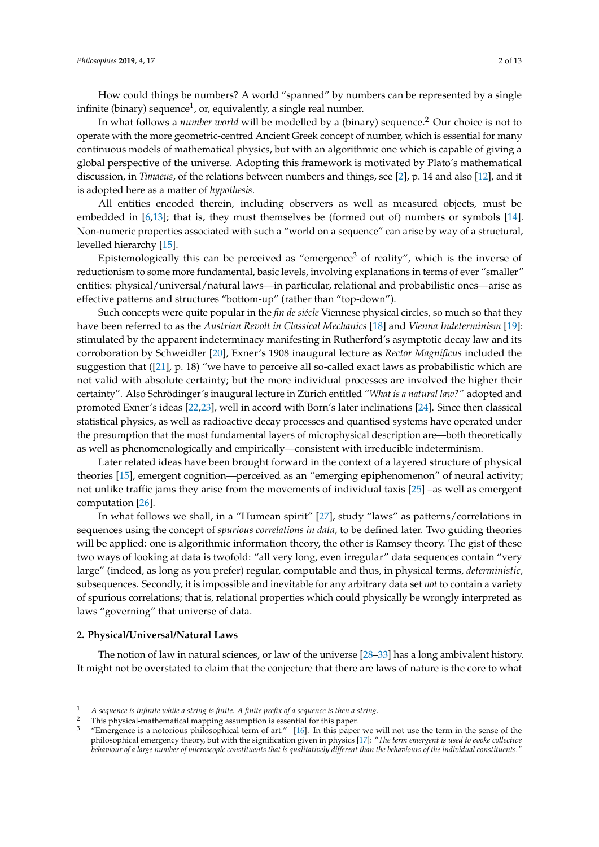How could things be numbers? A world "spanned" by numbers can be represented by a single infinite (binary) sequence<sup>1</sup>, or, equivalently, a single real number.

In what follows a *number world* will be modelled by a (binary) sequence.<sup>2</sup> Our choice is not to operate with the more geometric-centred Ancient Greek concept of number, which is essential for many continuous models of mathematical physics, but with an algorithmic one which is capable of giving a global perspective of the universe. Adopting this framework is motivated by Plato's mathematical discussion, in *Timaeus*, of the relations between numbers and things, see [\[2\]](#page-9-1), p. 14 and also [\[12\]](#page-9-7), and it is adopted here as a matter of *hypothesis*.

All entities encoded therein, including observers as well as measured objects, must be embedded in [\[6](#page-9-8)[,13\]](#page-9-9); that is, they must themselves be (formed out of) numbers or symbols [\[14\]](#page-9-10). Non-numeric properties associated with such a "world on a sequence" can arise by way of a structural, levelled hierarchy [\[15\]](#page-9-11).

Epistemologically this can be perceived as "emergence<sup>3</sup> of reality", which is the inverse of reductionism to some more fundamental, basic levels, involving explanations in terms of ever "smaller" entities: physical/universal/natural laws—in particular, relational and probabilistic ones—arise as effective patterns and structures "bottom-up" (rather than "top-down").

Such concepts were quite popular in the *fin de siécle* Viennese physical circles, so much so that they have been referred to as the *Austrian Revolt in Classical Mechanics* [\[18\]](#page-9-12) and *Vienna Indeterminism* [\[19\]](#page-10-0): stimulated by the apparent indeterminacy manifesting in Rutherford's asymptotic decay law and its corroboration by Schweidler [\[20\]](#page-10-1), Exner's 1908 inaugural lecture as *Rector Magnificus* included the suggestion that ([\[21\]](#page-10-2), p. 18) "we have to perceive all so-called exact laws as probabilistic which are not valid with absolute certainty; but the more individual processes are involved the higher their certainty". Also Schrödinger's inaugural lecture in Zürich entitled *"What is a natural law?"* adopted and promoted Exner's ideas [\[22](#page-10-3)[,23\]](#page-10-4), well in accord with Born's later inclinations [\[24\]](#page-10-5). Since then classical statistical physics, as well as radioactive decay processes and quantised systems have operated under the presumption that the most fundamental layers of microphysical description are—both theoretically as well as phenomenologically and empirically—consistent with irreducible indeterminism.

Later related ideas have been brought forward in the context of a layered structure of physical theories [\[15\]](#page-9-11), emergent cognition—perceived as an "emerging epiphenomenon" of neural activity; not unlike traffic jams they arise from the movements of individual taxis [\[25\]](#page-10-6) –as well as emergent computation [\[26\]](#page-10-7).

In what follows we shall, in a "Humean spirit" [\[27\]](#page-10-8), study "laws" as patterns/correlations in sequences using the concept of *spurious correlations in data*, to be defined later. Two guiding theories will be applied: one is algorithmic information theory, the other is Ramsey theory. The gist of these two ways of looking at data is twofold: "all very long, even irregular" data sequences contain "very large" (indeed, as long as you prefer) regular, computable and thus, in physical terms, *deterministic*, subsequences. Secondly, it is impossible and inevitable for any arbitrary data set *not* to contain a variety of spurious correlations; that is, relational properties which could physically be wrongly interpreted as laws "governing" that universe of data.

#### **2. Physical/Universal/Natural Laws**

The notion of law in natural sciences, or law of the universe [\[28–](#page-10-9)[33\]](#page-10-10) has a long ambivalent history. It might not be overstated to claim that the conjecture that there are laws of nature is the core to what

<sup>1</sup> *A sequence is infinite while a string is finite. A finite prefix of a sequence is then a string.*

<sup>&</sup>lt;sup>2</sup> This physical-mathematical mapping assumption is essential for this paper.

<sup>&</sup>quot;Emergence is a notorious philosophical term of art."  $[16]$ . In this paper we will not use the term in the sense of the philosophical emergency theory, but with the signification given in physics [\[17\]](#page-9-14): *"The term emergent is used to evoke collective behaviour of a large number of microscopic constituents that is qualitatively different than the behaviours of the individual constituents."*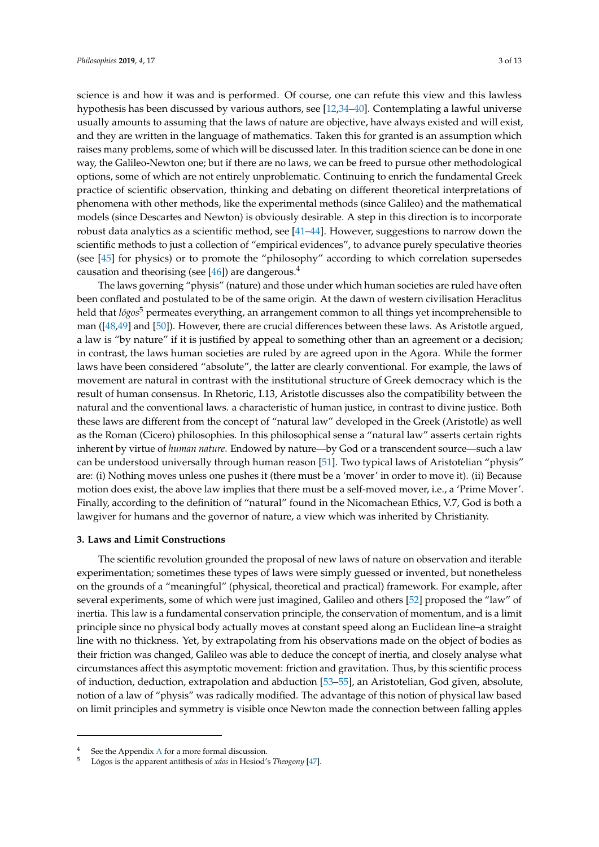science is and how it was and is performed. Of course, one can refute this view and this lawless hypothesis has been discussed by various authors, see [\[12](#page-9-7)[,34–](#page-10-11)[40\]](#page-10-12). Contemplating a lawful universe usually amounts to assuming that the laws of nature are objective, have always existed and will exist, and they are written in the language of mathematics. Taken this for granted is an assumption which raises many problems, some of which will be discussed later. In this tradition science can be done in one way, the Galileo-Newton one; but if there are no laws, we can be freed to pursue other methodological options, some of which are not entirely unproblematic. Continuing to enrich the fundamental Greek practice of scientific observation, thinking and debating on different theoretical interpretations of phenomena with other methods, like the experimental methods (since Galileo) and the mathematical models (since Descartes and Newton) is obviously desirable. A step in this direction is to incorporate robust data analytics as a scientific method, see [\[41](#page-10-13)[–44\]](#page-10-14). However, suggestions to narrow down the scientific methods to just a collection of "empirical evidences", to advance purely speculative theories (see [\[45\]](#page-10-15) for physics) or to promote the "philosophy" according to which correlation supersedes causation and theorising (see  $[46]$ ) are dangerous.<sup>4</sup>

The laws governing "physis" (nature) and those under which human societies are ruled have often been conflated and postulated to be of the same origin. At the dawn of western civilisation Heraclitus held that *lógos*<sup>5</sup> permeates everything, an arrangement common to all things yet incomprehensible to man ([\[48,](#page-10-17)[49\]](#page-10-18) and [\[50\]](#page-10-19)). However, there are crucial differences between these laws. As Aristotle argued, a law is "by nature" if it is justified by appeal to something other than an agreement or a decision; in contrast, the laws human societies are ruled by are agreed upon in the Agora. While the former laws have been considered "absolute", the latter are clearly conventional. For example, the laws of movement are natural in contrast with the institutional structure of Greek democracy which is the result of human consensus. In Rhetoric, I.13, Aristotle discusses also the compatibility between the natural and the conventional laws. a characteristic of human justice, in contrast to divine justice. Both these laws are different from the concept of "natural law" developed in the Greek (Aristotle) as well as the Roman (Cicero) philosophies. In this philosophical sense a "natural law" asserts certain rights inherent by virtue of *human nature*. Endowed by nature—by God or a transcendent source—such a law can be understood universally through human reason [\[51\]](#page-10-20). Two typical laws of Aristotelian "physis" are: (i) Nothing moves unless one pushes it (there must be a 'mover' in order to move it). (ii) Because motion does exist, the above law implies that there must be a self-moved mover, i.e., a 'Prime Mover'. Finally, according to the definition of "natural" found in the Nicomachean Ethics, V.7, God is both a lawgiver for humans and the governor of nature, a view which was inherited by Christianity.

## **3. Laws and Limit Constructions**

The scientific revolution grounded the proposal of new laws of nature on observation and iterable experimentation; sometimes these types of laws were simply guessed or invented, but nonetheless on the grounds of a "meaningful" (physical, theoretical and practical) framework. For example, after several experiments, some of which were just imagined, Galileo and others [\[52\]](#page-10-21) proposed the "law" of inertia. This law is a fundamental conservation principle, the conservation of momentum, and is a limit principle since no physical body actually moves at constant speed along an Euclidean line–a straight line with no thickness. Yet, by extrapolating from his observations made on the object of bodies as their friction was changed, Galileo was able to deduce the concept of inertia, and closely analyse what circumstances affect this asymptotic movement: friction and gravitation. Thus, by this scientific process of induction, deduction, extrapolation and abduction [\[53–](#page-10-22)[55\]](#page-11-0), an Aristotelian, God given, absolute, notion of a law of "physis" was radically modified. The advantage of this notion of physical law based on limit principles and symmetry is visible once Newton made the connection between falling apples

See the [A](#page-8-0)ppendix A for a more formal discussion.

<sup>5</sup> Lógos is the apparent antithesis of *xáos* in Hesiod's *Theogony* [\[47\]](#page-10-23).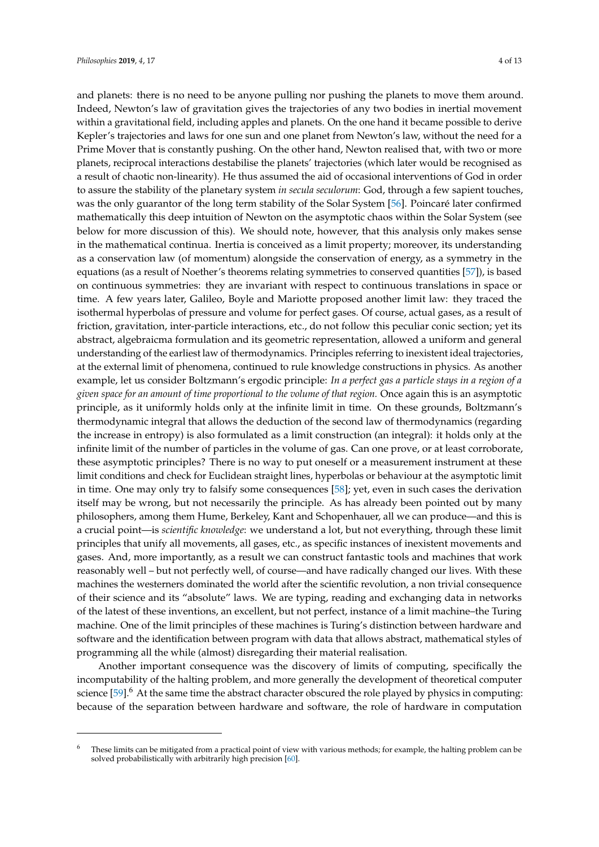and planets: there is no need to be anyone pulling nor pushing the planets to move them around. Indeed, Newton's law of gravitation gives the trajectories of any two bodies in inertial movement within a gravitational field, including apples and planets. On the one hand it became possible to derive Kepler's trajectories and laws for one sun and one planet from Newton's law, without the need for a Prime Mover that is constantly pushing. On the other hand, Newton realised that, with two or more planets, reciprocal interactions destabilise the planets' trajectories (which later would be recognised as a result of chaotic non-linearity). He thus assumed the aid of occasional interventions of God in order to assure the stability of the planetary system *in secula seculorum*: God, through a few sapient touches, was the only guarantor of the long term stability of the Solar System [\[56\]](#page-11-1). Poincaré later confirmed mathematically this deep intuition of Newton on the asymptotic chaos within the Solar System (see below for more discussion of this). We should note, however, that this analysis only makes sense in the mathematical continua. Inertia is conceived as a limit property; moreover, its understanding as a conservation law (of momentum) alongside the conservation of energy, as a symmetry in the equations (as a result of Noether's theorems relating symmetries to conserved quantities [\[57\]](#page-11-2)), is based on continuous symmetries: they are invariant with respect to continuous translations in space or time. A few years later, Galileo, Boyle and Mariotte proposed another limit law: they traced the isothermal hyperbolas of pressure and volume for perfect gases. Of course, actual gases, as a result of friction, gravitation, inter-particle interactions, etc., do not follow this peculiar conic section; yet its abstract, algebraicma formulation and its geometric representation, allowed a uniform and general understanding of the earliest law of thermodynamics. Principles referring to inexistent ideal trajectories, at the external limit of phenomena, continued to rule knowledge constructions in physics. As another example, let us consider Boltzmann's ergodic principle: *In a perfect gas a particle stays in a region of a given space for an amount of time proportional to the volume of that region.* Once again this is an asymptotic principle, as it uniformly holds only at the infinite limit in time. On these grounds, Boltzmann's thermodynamic integral that allows the deduction of the second law of thermodynamics (regarding the increase in entropy) is also formulated as a limit construction (an integral): it holds only at the infinite limit of the number of particles in the volume of gas. Can one prove, or at least corroborate, these asymptotic principles? There is no way to put oneself or a measurement instrument at these limit conditions and check for Euclidean straight lines, hyperbolas or behaviour at the asymptotic limit in time. One may only try to falsify some consequences [\[58\]](#page-11-3); yet, even in such cases the derivation itself may be wrong, but not necessarily the principle. As has already been pointed out by many philosophers, among them Hume, Berkeley, Kant and Schopenhauer, all we can produce—and this is a crucial point—is *scientific knowledge*: we understand a lot, but not everything, through these limit principles that unify all movements, all gases, etc., as specific instances of inexistent movements and gases. And, more importantly, as a result we can construct fantastic tools and machines that work reasonably well – but not perfectly well, of course—and have radically changed our lives. With these machines the westerners dominated the world after the scientific revolution, a non trivial consequence of their science and its "absolute" laws. We are typing, reading and exchanging data in networks of the latest of these inventions, an excellent, but not perfect, instance of a limit machine–the Turing machine. One of the limit principles of these machines is Turing's distinction between hardware and software and the identification between program with data that allows abstract, mathematical styles of programming all the while (almost) disregarding their material realisation.

Another important consequence was the discovery of limits of computing, specifically the incomputability of the halting problem, and more generally the development of theoretical computer science  $[59]$ .<sup>6</sup> At the same time the abstract character obscured the role played by physics in computing: because of the separation between hardware and software, the role of hardware in computation

These limits can be mitigated from a practical point of view with various methods; for example, the halting problem can be solved probabilistically with arbitrarily high precision [\[60\]](#page-11-5).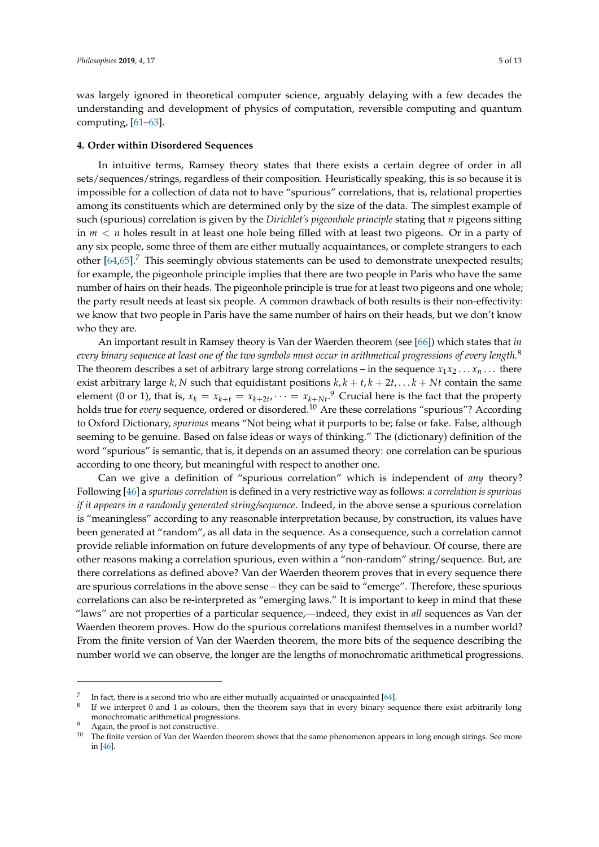was largely ignored in theoretical computer science, arguably delaying with a few decades the understanding and development of physics of computation, reversible computing and quantum computing,  $[61-63]$  $[61-63]$ .

#### <span id="page-4-0"></span>**4. Order within Disordered Sequences**

In intuitive terms, Ramsey theory states that there exists a certain degree of order in all sets/sequences/strings, regardless of their composition. Heuristically speaking, this is so because it is impossible for a collection of data not to have "spurious" correlations, that is, relational properties among its constituents which are determined only by the size of the data. The simplest example of such (spurious) correlation is given by the *Dirichlet's pigeonhole principle* stating that *n* pigeons sitting in *m* < *n* holes result in at least one hole being filled with at least two pigeons. Or in a party of any six people, some three of them are either mutually acquaintances, or complete strangers to each other  $[64,65]$  $[64,65]$ .<sup>7</sup> This seemingly obvious statements can be used to demonstrate unexpected results; for example, the pigeonhole principle implies that there are two people in Paris who have the same number of hairs on their heads. The pigeonhole principle is true for at least two pigeons and one whole; the party result needs at least six people. A common drawback of both results is their non-effectivity: we know that two people in Paris have the same number of hairs on their heads, but we don't know who they are.

An important result in Ramsey theory is Van der Waerden theorem (see [\[66\]](#page-11-10)) which states that *in every binary sequence at least one of the two symbols must occur in arithmetical progressions of every length.*<sup>8</sup> The theorem describes a set of arbitrary large strong correlations – in the sequence  $x_1x_2 \ldots x_n \ldots$  there exist arbitrary large  $k$ ,  $N$  such that equidistant positions  $k$ ,  $k + t$ ,  $k + 2t$ , . . .  $k + Nt$  contain the same element (0 or 1), that is,  $x_k = x_{k+t} = x_{k+2t}$ ,  $\cdots = x_{k+Nt}$ .<sup>9</sup> Crucial here is the fact that the property holds true for *every* sequence, ordered or disordered.<sup>10</sup> Are these correlations "spurious"? According to Oxford Dictionary, *spurious* means "Not being what it purports to be; false or fake. False, although seeming to be genuine. Based on false ideas or ways of thinking." The (dictionary) definition of the word "spurious" is semantic, that is, it depends on an assumed theory: one correlation can be spurious according to one theory, but meaningful with respect to another one.

Can we give a definition of "spurious correlation" which is independent of *any* theory? Following [\[46\]](#page-10-16) a *spurious correlation* is defined in a very restrictive way as follows: *a correlation is spurious if it appears in a randomly generated string/sequence*. Indeed, in the above sense a spurious correlation is "meaningless" according to any reasonable interpretation because, by construction, its values have been generated at "random", as all data in the sequence. As a consequence, such a correlation cannot provide reliable information on future developments of any type of behaviour. Of course, there are other reasons making a correlation spurious, even within a "non-random" string/sequence. But, are there correlations as defined above? Van der Waerden theorem proves that in every sequence there are spurious correlations in the above sense – they can be said to "emerge". Therefore, these spurious correlations can also be re-interpreted as "emerging laws." It is important to keep in mind that these "laws" are not properties of a particular sequence,—indeed, they exist in *all* sequences as Van der Waerden theorem proves. How do the spurious correlations manifest themselves in a number world? From the finite version of Van der Waerden theorem, the more bits of the sequence describing the number world we can observe, the longer are the lengths of monochromatic arithmetical progressions.

<sup>7</sup> In fact, there is a second trio who are either mutually acquainted or unacquainted [\[64\]](#page-11-8).

<sup>8</sup> If we interpret 0 and 1 as colours, then the theorem says that in every binary sequence there exist arbitrarily long monochromatic arithmetical progressions.

Again, the proof is not constructive.

<sup>&</sup>lt;sup>10</sup> The finite version of Van der Waerden theorem shows that the same phenomenon appears in long enough strings. See more in [\[46\]](#page-10-16).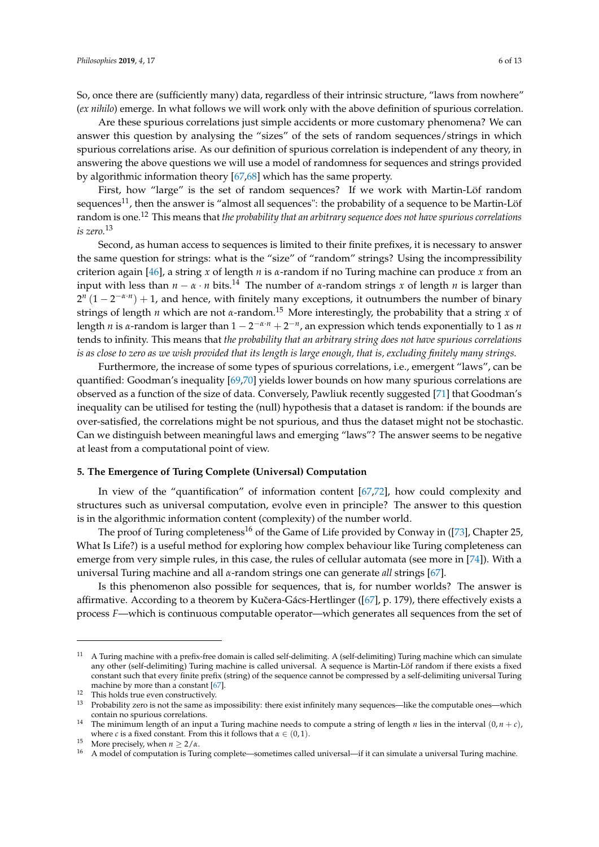So, once there are (sufficiently many) data, regardless of their intrinsic structure, "laws from nowhere" (*ex nihilo*) emerge. In what follows we will work only with the above definition of spurious correlation.

Are these spurious correlations just simple accidents or more customary phenomena? We can answer this question by analysing the "sizes" of the sets of random sequences/strings in which spurious correlations arise. As our definition of spurious correlation is independent of any theory, in answering the above questions we will use a model of randomness for sequences and strings provided by algorithmic information theory [\[67](#page-11-11)[,68\]](#page-11-12) which has the same property.

First, how "large" is the set of random sequences? If we work with Martin-Löf random sequences<sup>11</sup>, then the answer is "almost all sequences": the probability of a sequence to be Martin-Löf random is one.<sup>12</sup> This means that *the probability that an arbitrary sequence does not have spurious correlations is zero.*<sup>13</sup>

Second, as human access to sequences is limited to their finite prefixes, it is necessary to answer the same question for strings: what is the "size" of "random" strings? Using the incompressibility criterion again [\[46\]](#page-10-16), a string *x* of length *n* is *α*-random if no Turing machine can produce *x* from an input with less than  $n - \alpha \cdot n$  bits.<sup>14</sup> The number of  $\alpha$ -random strings x of length *n* is larger than  $2^{n}(1-2^{-\alpha \cdot n})+1$ , and hence, with finitely many exceptions, it outnumbers the number of binary strings of length *n* which are not *α*-random.<sup>15</sup> More interestingly, the probability that a string *x* of length *n* is *α*-random is larger than 1 − 2 <sup>−</sup>*α*·*<sup>n</sup>* + 2 −*n* , an expression which tends exponentially to 1 as *n* tends to infinity. This means that *the probability that an arbitrary string does not have spurious correlations is as close to zero as we wish provided that its length is large enough, that is, excluding finitely many strings.*

Furthermore, the increase of some types of spurious correlations, i.e., emergent "laws", can be quantified: Goodman's inequality [\[69,](#page-11-13)[70\]](#page-11-14) yields lower bounds on how many spurious correlations are observed as a function of the size of data. Conversely, Pawliuk recently suggested [\[71\]](#page-11-15) that Goodman's inequality can be utilised for testing the (null) hypothesis that a dataset is random: if the bounds are over-satisfied, the correlations might be not spurious, and thus the dataset might not be stochastic. Can we distinguish between meaningful laws and emerging "laws"? The answer seems to be negative at least from a computational point of view.

## **5. The Emergence of Turing Complete (Universal) Computation**

In view of the "quantification" of information content [\[67,](#page-11-11)[72\]](#page-11-16), how could complexity and structures such as universal computation, evolve even in principle? The answer to this question is in the algorithmic information content (complexity) of the number world.

The proof of Turing completeness<sup>16</sup> of the Game of Life provided by Conway in ([\[73\]](#page-11-17), Chapter 25, What Is Life?) is a useful method for exploring how complex behaviour like Turing completeness can emerge from very simple rules, in this case, the rules of cellular automata (see more in [\[74\]](#page-11-18)). With a universal Turing machine and all *α*-random strings one can generate *all* strings [\[67\]](#page-11-11).

Is this phenomenon also possible for sequences, that is, for number worlds? The answer is affirmative. According to a theorem by Kučera-Gács-Hertlinger ([\[67\]](#page-11-11), p. 179), there effectively exists a process *F*—which is continuous computable operator—which generates all sequences from the set of

<sup>11</sup> A Turing machine with a prefix-free domain is called self-delimiting. A (self-delimiting) Turing machine which can simulate any other (self-delimiting) Turing machine is called universal. A sequence is Martin-Löf random if there exists a fixed constant such that every finite prefix (string) of the sequence cannot be compressed by a self-delimiting universal Turing machine by more than a constant [\[67\]](#page-11-11).

<sup>&</sup>lt;sup>12</sup> This holds true even constructively.

<sup>13</sup> Probability zero is not the same as impossibility: there exist infinitely many sequences—like the computable ones—which contain no spurious correlations.

<sup>&</sup>lt;sup>14</sup> The minimum length of an input a Turing machine needs to compute a string of length *n* lies in the interval  $(0, n + c)$ , where *c* is a fixed constant. From this it follows that  $\alpha \in (0,1)$ .

<sup>&</sup>lt;sup>15</sup> More precisely, when  $n \ge 2/\alpha$ .

<sup>&</sup>lt;sup>16</sup> A model of computation is Turing complete—sometimes called universal—if it can simulate a universal Turing machine.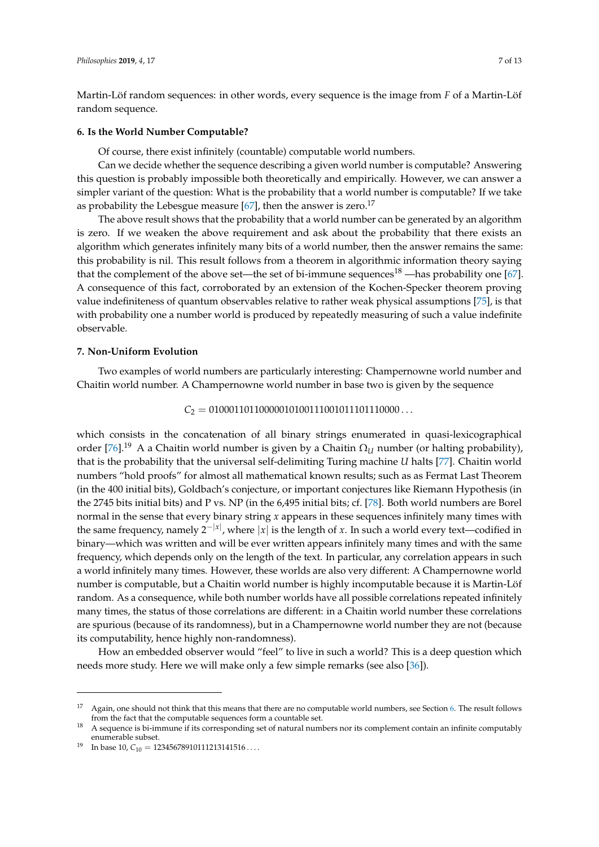Martin-Löf random sequences: in other words, every sequence is the image from *F* of a Martin-Löf random sequence.

#### <span id="page-6-0"></span>**6. Is the World Number Computable?**

Of course, there exist infinitely (countable) computable world numbers.

Can we decide whether the sequence describing a given world number is computable? Answering this question is probably impossible both theoretically and empirically. However, we can answer a simpler variant of the question: What is the probability that a world number is computable? If we take as probability the Lebesgue measure  $[67]$ , then the answer is zero.<sup>17</sup>

The above result shows that the probability that a world number can be generated by an algorithm is zero. If we weaken the above requirement and ask about the probability that there exists an algorithm which generates infinitely many bits of a world number, then the answer remains the same: this probability is nil. This result follows from a theorem in algorithmic information theory saying that the complement of the above set—the set of bi-immune sequences<sup>18</sup> —has probability one [\[67\]](#page-11-11). A consequence of this fact, corroborated by an extension of the Kochen-Specker theorem proving value indefiniteness of quantum observables relative to rather weak physical assumptions [\[75\]](#page-11-19), is that with probability one a number world is produced by repeatedly measuring of such a value indefinite observable.

### **7. Non-Uniform Evolution**

Two examples of world numbers are particularly interesting: Champernowne world number and Chaitin world number. A Champernowne world number in base two is given by the sequence

 $C_2 = 01000110110000010100111001011101110000...$ 

which consists in the concatenation of all binary strings enumerated in quasi-lexicographical order [\[76\]](#page-11-20).<sup>19</sup> A a Chaitin world number is given by a Chaitin  $\Omega_U$  number (or halting probability), that is the probability that the universal self-delimiting Turing machine *U* halts [\[77\]](#page-11-21). Chaitin world numbers "hold proofs" for almost all mathematical known results; such as as Fermat Last Theorem (in the 400 initial bits), Goldbach's conjecture, or important conjectures like Riemann Hypothesis (in the 2745 bits initial bits) and P vs. NP (in the 6,495 initial bits; cf. [\[78\]](#page-11-22). Both world numbers are Borel normal in the sense that every binary string *x* appears in these sequences infinitely many times with the same frequency, namely  $2^{-|x|}$ , where  $|x|$  is the length of *x*. In such a world every text—codified in binary—which was written and will be ever written appears infinitely many times and with the same frequency, which depends only on the length of the text. In particular, any correlation appears in such a world infinitely many times. However, these worlds are also very different: A Champernowne world number is computable, but a Chaitin world number is highly incomputable because it is Martin-Löf random. As a consequence, while both number worlds have all possible correlations repeated infinitely many times, the status of those correlations are different: in a Chaitin world number these correlations are spurious (because of its randomness), but in a Champernowne world number they are not (because its computability, hence highly non-randomness).

How an embedded observer would "feel" to live in such a world? This is a deep question which needs more study. Here we will make only a few simple remarks (see also [\[36\]](#page-10-24)).

 $17$  Again, one should not think that this means that there are no computable world numbers, see Section [6.](#page-6-0) The result follows from the fact that the computable sequences form a countable set.

<sup>18</sup> A sequence is bi-immune if its corresponding set of natural numbers nor its complement contain an infinite computably enumerable subset.

<sup>&</sup>lt;sup>19</sup> In base 10,  $C_{10} = 12345678910111213141516...$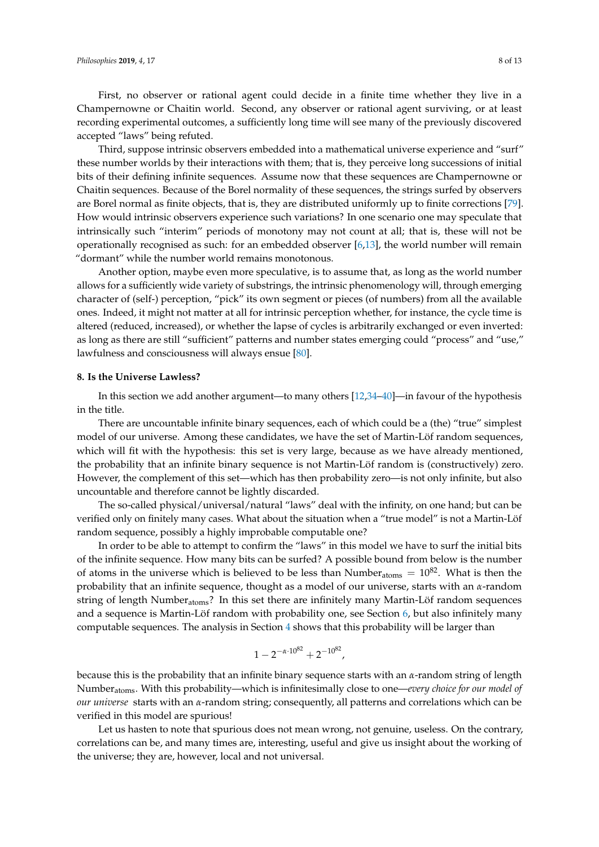First, no observer or rational agent could decide in a finite time whether they live in a Champernowne or Chaitin world. Second, any observer or rational agent surviving, or at least recording experimental outcomes, a sufficiently long time will see many of the previously discovered accepted "laws" being refuted.

Third, suppose intrinsic observers embedded into a mathematical universe experience and "surf" these number worlds by their interactions with them; that is, they perceive long successions of initial bits of their defining infinite sequences. Assume now that these sequences are Champernowne or Chaitin sequences. Because of the Borel normality of these sequences, the strings surfed by observers are Borel normal as finite objects, that is, they are distributed uniformly up to finite corrections [\[79\]](#page-11-23). How would intrinsic observers experience such variations? In one scenario one may speculate that intrinsically such "interim" periods of monotony may not count at all; that is, these will not be operationally recognised as such: for an embedded observer [\[6](#page-9-8)[,13\]](#page-9-9), the world number will remain "dormant" while the number world remains monotonous.

Another option, maybe even more speculative, is to assume that, as long as the world number allows for a sufficiently wide variety of substrings, the intrinsic phenomenology will, through emerging character of (self-) perception, "pick" its own segment or pieces (of numbers) from all the available ones. Indeed, it might not matter at all for intrinsic perception whether, for instance, the cycle time is altered (reduced, increased), or whether the lapse of cycles is arbitrarily exchanged or even inverted: as long as there are still "sufficient" patterns and number states emerging could "process" and "use," lawfulness and consciousness will always ensue [\[80\]](#page-11-24).

#### <span id="page-7-0"></span>**8. Is the Universe Lawless?**

In this section we add another argument—to many others [\[12](#page-9-7)[,34–](#page-10-11)[40\]](#page-10-12)—in favour of the hypothesis in the title.

There are uncountable infinite binary sequences, each of which could be a (the) "true" simplest model of our universe. Among these candidates, we have the set of Martin-Löf random sequences, which will fit with the hypothesis: this set is very large, because as we have already mentioned, the probability that an infinite binary sequence is not Martin-Löf random is (constructively) zero. However, the complement of this set—which has then probability zero—is not only infinite, but also uncountable and therefore cannot be lightly discarded.

The so-called physical/universal/natural "laws" deal with the infinity, on one hand; but can be verified only on finitely many cases. What about the situation when a "true model" is not a Martin-Löf random sequence, possibly a highly improbable computable one?

In order to be able to attempt to confirm the "laws" in this model we have to surf the initial bits of the infinite sequence. How many bits can be surfed? A possible bound from below is the number of atoms in the universe which is believed to be less than Number<sub>atoms</sub> =  $10^{82}$ . What is then the probability that an infinite sequence, thought as a model of our universe, starts with an *α*-random string of length Numberatoms? In this set there are infinitely many Martin-Löf random sequences and a sequence is Martin-Löf random with probability one, see Section [6,](#page-6-0) but also infinitely many computable sequences. The analysis in Section [4](#page-4-0) shows that this probability will be larger than

$$
1 - 2^{-\alpha \cdot 10^{82}} + 2^{-10^{82}},
$$

because this is the probability that an infinite binary sequence starts with an *α*-random string of length Numberatoms. With this probability—which is infinitesimally close to one—*every choice for our model of our universe* starts with an *α*-random string; consequently, all patterns and correlations which can be verified in this model are spurious!

Let us hasten to note that spurious does not mean wrong, not genuine, useless. On the contrary, correlations can be, and many times are, interesting, useful and give us insight about the working of the universe; they are, however, local and not universal.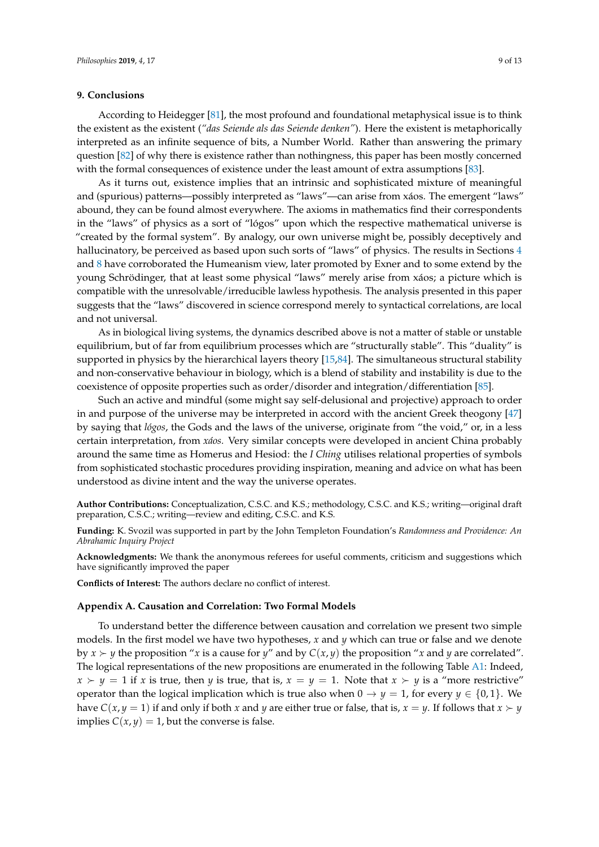#### **9. Conclusions**

According to Heidegger [\[81\]](#page-11-25), the most profound and foundational metaphysical issue is to think the existent as the existent (*"das Seiende als das Seiende denken"*). Here the existent is metaphorically interpreted as an infinite sequence of bits, a Number World. Rather than answering the primary question [\[82\]](#page-11-26) of why there is existence rather than nothingness, this paper has been mostly concerned with the formal consequences of existence under the least amount of extra assumptions [\[83\]](#page-11-27).

As it turns out, existence implies that an intrinsic and sophisticated mixture of meaningful and (spurious) patterns—possibly interpreted as "laws"—can arise from xáos. The emergent "laws" abound, they can be found almost everywhere. The axioms in mathematics find their correspondents in the "laws" of physics as a sort of "lógos" upon which the respective mathematical universe is "created by the formal system". By analogy, our own universe might be, possibly deceptively and hallucinatory, be perceived as based upon such sorts of "laws" of physics. The results in Sections [4](#page-4-0) and [8](#page-7-0) have corroborated the Humeanism view, later promoted by Exner and to some extend by the young Schrödinger, that at least some physical "laws" merely arise from xáos; a picture which is compatible with the unresolvable/irreducible lawless hypothesis. The analysis presented in this paper suggests that the "laws" discovered in science correspond merely to syntactical correlations, are local and not universal.

As in biological living systems, the dynamics described above is not a matter of stable or unstable equilibrium, but of far from equilibrium processes which are "structurally stable". This "duality" is supported in physics by the hierarchical layers theory [\[15,](#page-9-11)[84\]](#page-11-28). The simultaneous structural stability and non-conservative behaviour in biology, which is a blend of stability and instability is due to the coexistence of opposite properties such as order/disorder and integration/differentiation [\[85\]](#page-11-29).

Such an active and mindful (some might say self-delusional and projective) approach to order in and purpose of the universe may be interpreted in accord with the ancient Greek theogony [\[47\]](#page-10-23) by saying that *lógos*, the Gods and the laws of the universe, originate from "the void," or, in a less certain interpretation, from *xáos.* Very similar concepts were developed in ancient China probably around the same time as Homerus and Hesiod: the *I Ching* utilises relational properties of symbols from sophisticated stochastic procedures providing inspiration, meaning and advice on what has been understood as divine intent and the way the universe operates.

**Author Contributions:** Conceptualization, C.S.C. and K.S.; methodology, C.S.C. and K.S.; writing—original draft preparation, C.S.C.; writing—review and editing, C.S.C. and K.S.

**Funding:** K. Svozil was supported in part by the John Templeton Foundation's *Randomness and Providence: An Abrahamic Inquiry Project*

**Acknowledgments:** We thank the anonymous referees for useful comments, criticism and suggestions which have significantly improved the paper

**Conflicts of Interest:** The authors declare no conflict of interest.

#### <span id="page-8-0"></span>**Appendix A. Causation and Correlation: Two Formal Models**

To understand better the difference between causation and correlation we present two simple models. In the first model we have two hypotheses, *x* and *y* which can true or false and we denote by  $x \succ y$  the proposition "*x* is a cause for *y*" and by  $C(x, y)$  the proposition "*x* and *y* are correlated". The logical representations of the new propositions are enumerated in the following Table [A1:](#page-9-15) Indeed,  $x \succ y = 1$  if *x* is true, then *y* is true, that is,  $x = y = 1$ . Note that  $x \succ y$  is a "more restrictive" operator than the logical implication which is true also when  $0 \rightarrow y = 1$ , for every  $y \in \{0,1\}$ . We have *C*(*x*, *y* = 1) if and only if both *x* and *y* are either true or false, that is,  $x = y$ . If follows that  $x \succ y$ implies  $C(x, y) = 1$ , but the converse is false.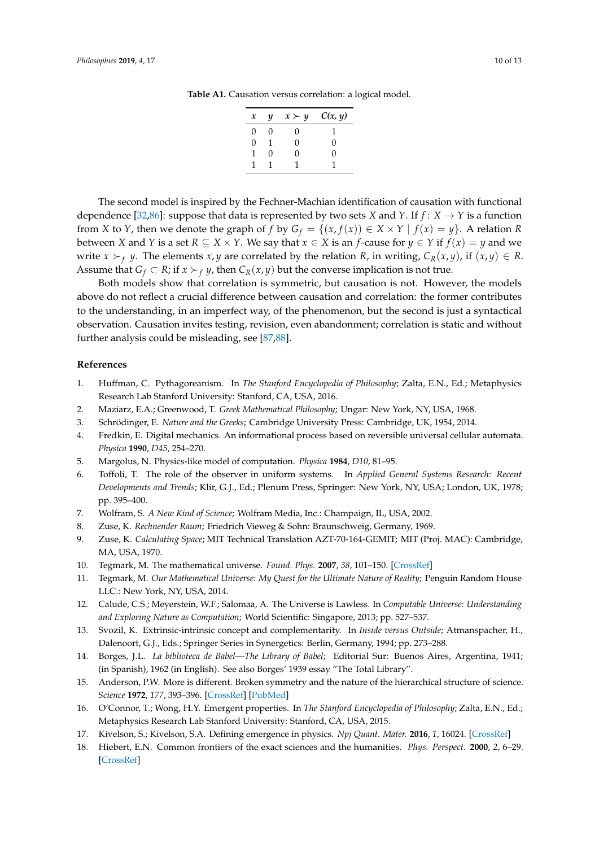| $\boldsymbol{x}$ | $\boldsymbol{\mathcal{U}}$ | $x \succ y$ | C(x, y) |
|------------------|----------------------------|-------------|---------|
| 0                | 0                          | 0           |         |
| U                | 1                          | 0           | O       |
| 1                | 0                          | 0           | O       |
| н                |                            |             |         |
|                  |                            |             |         |

<span id="page-9-15"></span>**Table A1.** Causation versus correlation: a logical model.

The second model is inspired by the Fechner-Machian identification of causation with functional dependence [\[32,](#page-10-25)[86\]](#page-12-0): suppose that data is represented by two sets *X* and *Y*. If  $f: X \to Y$  is a function from *X* to *Y*, then we denote the graph of *f* by  $G_f = \{(x, f(x)) \in X \times Y \mid f(x) = y\}$ . A relation *R* between *X* and *Y* is a set *R*  $\subseteq$  *X*  $\times$  *Y*. We say that  $x \in X$  is an *f*-cause for  $y \in Y$  if  $f(x) = y$  and we write  $x \succ_f y$ . The elements  $x, y$  are correlated by the relation *R*, in writing,  $C_R(x, y)$ , if  $(x, y) \in R$ . Assume that  $G_f \subset R$ ; if  $x \succ_f y$ , then  $C_R(x, y)$  but the converse implication is not true.

Both models show that correlation is symmetric, but causation is not. However, the models above do not reflect a crucial difference between causation and correlation: the former contributes to the understanding, in an imperfect way, of the phenomenon, but the second is just a syntactical observation. Causation invites testing, revision, even abandonment; correlation is static and without further analysis could be misleading, see [\[87,](#page-12-1)[88\]](#page-12-2).

### **References**

- <span id="page-9-0"></span>1. Huffman, C. Pythagoreanism. In *The Stanford Encyclopedia of Philosophy*; Zalta, E.N., Ed.; Metaphysics Research Lab Stanford University: Stanford, CA, USA, 2016.
- <span id="page-9-1"></span>2. Maziarz, E.A.; Greenwood, T. *Greek Mathematical Philosophy*; Ungar: New York, NY, USA, 1968.
- <span id="page-9-2"></span>3. Schrödinger, E. *Nature and the Greeks*; Cambridge University Press: Cambridge, UK, 1954, 2014.
- <span id="page-9-3"></span>4. Fredkin, E. Digital mechanics. An informational process based on reversible universal cellular automata. *Physica* **1990**, *D45*, 254–270.
- 5. Margolus, N. Physics-like model of computation. *Physica* **1984**, *D10*, 81–95.
- <span id="page-9-8"></span>6. Toffoli, T. The role of the observer in uniform systems. In *Applied General Systems Research: Recent Developments and Trends*; Klir, G.J., Ed.; Plenum Press, Springer: New York, NY, USA; London, UK, 1978; pp. 395–400.
- 7. Wolfram, S. *A New Kind of Science*; Wolfram Media, Inc.: Champaign, IL, USA, 2002.
- <span id="page-9-4"></span>8. Zuse, K. *Rechnender Raum*; Friedrich Vieweg & Sohn: Braunschweig, Germany, 1969.
- 9. Zuse, K. *Calculating Space*; MIT Technical Translation AZT-70-164-GEMIT; MIT (Proj. MAC): Cambridge, MA, USA, 1970.
- <span id="page-9-5"></span>10. Tegmark, M. The mathematical universe. *Found. Phys.* **2007**, *38*, 101–150. [\[CrossRef\]](http://dx.doi.org/10.1007/s10701-007-9186-9)
- <span id="page-9-6"></span>11. Tegmark, M. *Our Mathematical Universe: My Quest for the Ultimate Nature of Reality*; Penguin Random House LLC.: New York, NY, USA, 2014.
- <span id="page-9-7"></span>12. Calude, C.S.; Meyerstein, W.F.; Salomaa, A. The Universe is Lawless. In *Computable Universe: Understanding and Exploring Nature as Computation*; World Scientific: Singapore, 2013; pp. 527–537.
- <span id="page-9-9"></span>13. Svozil, K. Extrinsic-intrinsic concept and complementarity. In *Inside versus Outside*; Atmanspacher, H., Dalenoort, G.J., Eds.; Springer Series in Synergetics: Berlin, Germany, 1994; pp. 273–288.
- <span id="page-9-10"></span>14. Borges, J.L. *La biblioteca de Babel—The Library of Babel*; Editorial Sur: Buenos Aires, Argentina, 1941; (in Spanish), 1962 (in English). See also Borges' 1939 essay "The Total Library".
- <span id="page-9-11"></span>15. Anderson, P.W. More is different. Broken symmetry and the nature of the hierarchical structure of science. *Science* **1972**, *177*, 393–396. [\[CrossRef\]](http://dx.doi.org/10.1126/science.177.4047.393) [\[PubMed\]](http://www.ncbi.nlm.nih.gov/pubmed/17796623)
- <span id="page-9-13"></span>16. O'Connor, T.; Wong, H.Y. Emergent properties. In *The Stanford Encyclopedia of Philosophy*; Zalta, E.N., Ed.; Metaphysics Research Lab Stanford University: Stanford, CA, USA, 2015.
- <span id="page-9-14"></span>17. Kivelson, S.; Kivelson, S.A. Defining emergence in physics. *Npj Quant. Mater.* **2016**, *1*, 16024. [\[CrossRef\]](http://dx.doi.org/10.1038/npjquantmats.2016.24)
- <span id="page-9-12"></span>18. Hiebert, E.N. Common frontiers of the exact sciences and the humanities. *Phys. Perspect.* **2000**, *2*, 6–29. [\[CrossRef\]](http://dx.doi.org/10.1007/s000160050034)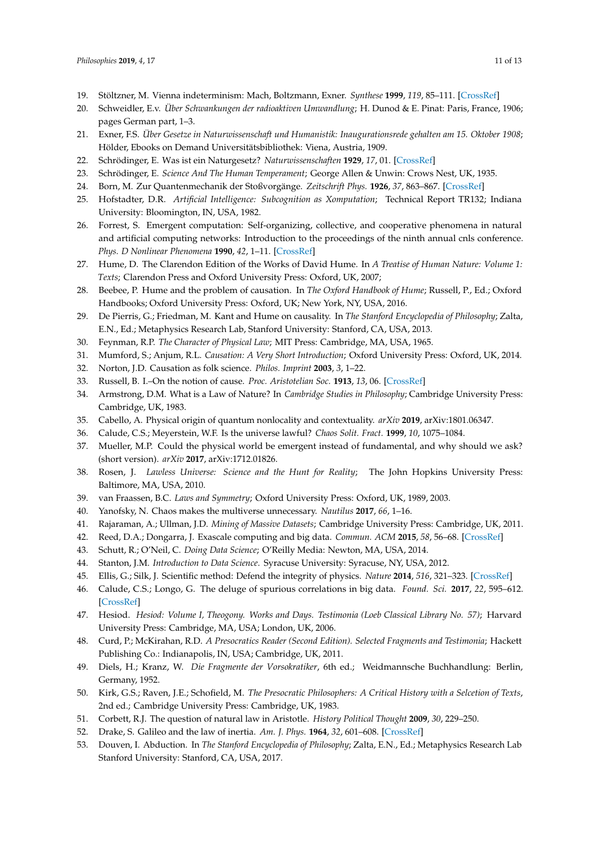- <span id="page-10-0"></span>19. Stöltzner, M. Vienna indeterminism: Mach, Boltzmann, Exner. *Synthese* **1999**, *119*, 85–111. [\[CrossRef\]](http://dx.doi.org/10.1023/A:1005243320885)
- <span id="page-10-1"></span>20. Schweidler, E.v. *Über Schwankungen der radioaktiven Umwandlung*; H. Dunod & E. Pinat: Paris, France, 1906; pages German part, 1–3.
- <span id="page-10-2"></span>21. Exner, F.S. *Über Gesetze in Naturwissenschaft und Humanistik: Inaugurationsrede gehalten am 15. Oktober 1908*; Hölder, Ebooks on Demand Universitätsbibliothek: Viena, Austria, 1909.
- <span id="page-10-3"></span>22. Schrödinger, E. Was ist ein Naturgesetz? *Naturwissenschaften* **1929**, *17*, 01. [\[CrossRef\]](http://dx.doi.org/10.1007/BF01505758)
- <span id="page-10-4"></span>23. Schrödinger, E. *Science And The Human Temperament*; George Allen & Unwin: Crows Nest, UK, 1935.
- <span id="page-10-5"></span>24. Born, M. Zur Quantenmechanik der Stoßvorgänge. *Zeitschrift Phys.* **1926**, *37*, 863–867. [\[CrossRef\]](http://dx.doi.org/10.1007/BF01397477)
- <span id="page-10-6"></span>25. Hofstadter, D.R. *Artificial Intelligence: Subcognition as Xomputation*; Technical Report TR132; Indiana University: Bloomington, IN, USA, 1982.
- <span id="page-10-7"></span>26. Forrest, S. Emergent computation: Self-organizing, collective, and cooperative phenomena in natural and artificial computing networks: Introduction to the proceedings of the ninth annual cnls conference. *Phys. D Nonlinear Phenomena* **1990**, *42*, 1–11. [\[CrossRef\]](http://dx.doi.org/10.1016/0167-2789(90)90063-U)
- <span id="page-10-8"></span>27. Hume, D. The Clarendon Edition of the Works of David Hume. In *A Treatise of Human Nature: Volume 1: Texts*; Clarendon Press and Oxford University Press: Oxford, UK, 2007;
- <span id="page-10-9"></span>28. Beebee, P. Hume and the problem of causation. In *The Oxford Handbook of Hume*; Russell, P., Ed.; Oxford Handbooks; Oxford University Press: Oxford, UK; New York, NY, USA, 2016.
- 29. De Pierris, G.; Friedman, M. Kant and Hume on causality. In *The Stanford Encyclopedia of Philosophy*; Zalta, E.N., Ed.; Metaphysics Research Lab, Stanford University: Stanford, CA, USA, 2013.
- 30. Feynman, R.P. *The Character of Physical Law*; MIT Press: Cambridge, MA, USA, 1965.
- 31. Mumford, S.; Anjum, R.L. *Causation: A Very Short Introduction*; Oxford University Press: Oxford, UK, 2014.
- <span id="page-10-25"></span>32. Norton, J.D. Causation as folk science. *Philos. Imprint* **2003**, *3*, 1–22.
- <span id="page-10-10"></span>33. Russell, B. I.–On the notion of cause. *Proc. Aristotelian Soc.* **1913**, *13*, 06. [\[CrossRef\]](http://dx.doi.org/10.1093/aristotelian/13.1.1)
- <span id="page-10-11"></span>34. Armstrong, D.M. What is a Law of Nature? In *Cambridge Studies in Philosophy*; Cambridge University Press: Cambridge, UK, 1983.
- 35. Cabello, A. Physical origin of quantum nonlocality and contextuality. *arXiv* **2019**, arXiv:1801.06347.
- <span id="page-10-24"></span>36. Calude, C.S.; Meyerstein, W.F. Is the universe lawful? *Chaos Solit. Fract.* **1999**, *10*, 1075–1084.
- 37. Mueller, M.P. Could the physical world be emergent instead of fundamental, and why should we ask? (short version). *arXiv* **2017**, arXiv:1712.01826.
- 38. Rosen, J. *Lawless Universe: Science and the Hunt for Reality*; The John Hopkins University Press: Baltimore, MA, USA, 2010.
- 39. van Fraassen, B.C. *Laws and Symmetry*; Oxford University Press: Oxford, UK, 1989, 2003.
- <span id="page-10-12"></span>40. Yanofsky, N. Chaos makes the multiverse unnecessary. *Nautilus* **2017**, *66*, 1–16.
- <span id="page-10-13"></span>41. Rajaraman, A.; Ullman, J.D. *Mining of Massive Datasets*; Cambridge University Press: Cambridge, UK, 2011.
- 42. Reed, D.A.; Dongarra, J. Exascale computing and big data. *Commun. ACM* **2015**, *58*, 56–68. [\[CrossRef\]](http://dx.doi.org/10.1145/2699414)
- 43. Schutt, R.; O'Neil, C. *Doing Data Science*; O'Reilly Media: Newton, MA, USA, 2014.
- <span id="page-10-14"></span>44. Stanton, J.M. *Introduction to Data Science*. Syracuse University: Syracuse, NY, USA, 2012.
- <span id="page-10-15"></span>45. Ellis, G.; Silk, J. Scientific method: Defend the integrity of physics. *Nature* **2014**, *516*, 321–323. [\[CrossRef\]](http://dx.doi.org/10.1038/516321a)
- <span id="page-10-16"></span>46. Calude, C.S.; Longo, G. The deluge of spurious correlations in big data. *Found. Sci.* **2017**, *22*, 595–612. [\[CrossRef\]](http://dx.doi.org/10.1007/s10699-016-9489-4)
- <span id="page-10-23"></span>47. Hesiod. *Hesiod: Volume I, Theogony. Works and Days. Testimonia (Loeb Classical Library No. 57)*; Harvard University Press: Cambridge, MA, USA; London, UK, 2006.
- <span id="page-10-17"></span>48. Curd, P.; McKirahan, R.D. *A Presocratics Reader (Second Edition). Selected Fragments and Testimonia*; Hackett Publishing Co.: Indianapolis, IN, USA; Cambridge, UK, 2011.
- <span id="page-10-18"></span>49. Diels, H.; Kranz, W. *Die Fragmente der Vorsokratiker*, 6th ed.; Weidmannsche Buchhandlung: Berlin, Germany, 1952.
- <span id="page-10-19"></span>50. Kirk, G.S.; Raven, J.E.; Schofield, M. *The Presocratic Philosophers: A Critical History with a Selcetion of Texts*, 2nd ed.; Cambridge University Press: Cambridge, UK, 1983.
- <span id="page-10-20"></span>51. Corbett, R.J. The question of natural law in Aristotle. *History Political Thought* **2009**, *30*, 229–250.
- <span id="page-10-21"></span>52. Drake, S. Galileo and the law of inertia. *Am. J. Phys.* **1964**, *32*, 601–608. [\[CrossRef\]](http://dx.doi.org/10.1119/1.1970872)
- <span id="page-10-22"></span>53. Douven, I. Abduction. In *The Stanford Encyclopedia of Philosophy*; Zalta, E.N., Ed.; Metaphysics Research Lab Stanford University: Stanford, CA, USA, 2017.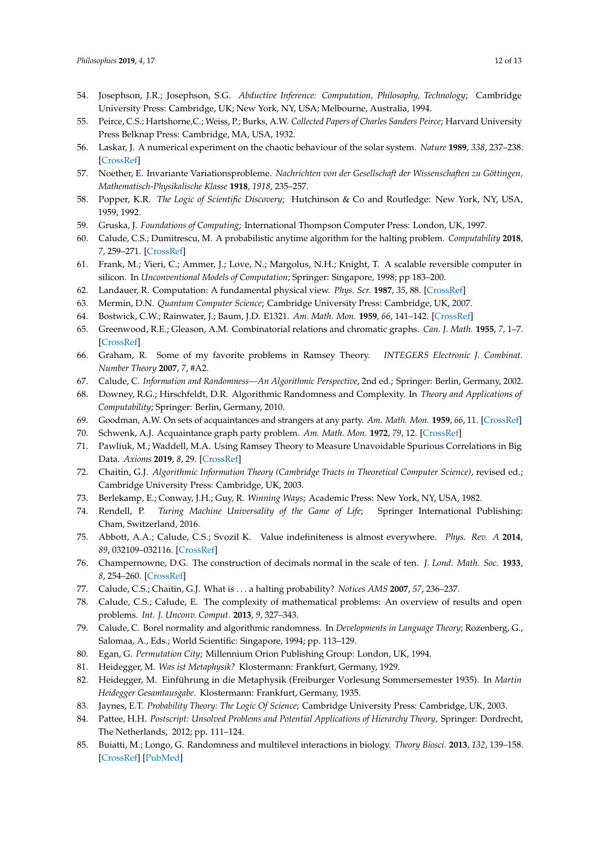- 54. Josephson, J.R.; Josephson, S.G. *Abductive Inference: Computation, Philosophy, Technology*; Cambridge University Press: Cambridge, UK; New York, NY, USA; Melbourne, Australia, 1994.
- <span id="page-11-0"></span>55. Peirce, C.S.; Hartshorne,C.; Weiss, P.; Burks, A.W. *Collected Papers of Charles Sanders Peirce*; Harvard University Press Belknap Press: Cambridge, MA, USA, 1932.
- <span id="page-11-1"></span>56. Laskar, J. A numerical experiment on the chaotic behaviour of the solar system. *Nature* **1989**, *338*, 237–238. [\[CrossRef\]](http://dx.doi.org/10.1038/338237a0)
- <span id="page-11-2"></span>57. Noether, E. Invariante Variationsprobleme. *Nachrichten von der Gesellschaft der Wissenschaften zu Göttingen, Mathematisch-Physikalische Klasse* **1918**, *1918*, 235–257.
- <span id="page-11-3"></span>58. Popper, K.R. *The Logic of Scientific Discovery*; Hutchinson & Co and Routledge: New York, NY, USA, 1959, 1992.
- <span id="page-11-4"></span>59. Gruska, J. *Foundations of Computing*; International Thompson Computer Press: London, UK, 1997.
- <span id="page-11-5"></span>60. Calude, C.S.; Dumitrescu, M. A probabilistic anytime algorithm for the halting problem. *Computability* **2018**, *7*, 259–271. [\[CrossRef\]](http://dx.doi.org/10.3233/COM-170073)
- <span id="page-11-6"></span>61. Frank, M.; Vieri, C.; Ammer, J.; Love, N.; Margolus, N.H.; Knight, T. A scalable reversible computer in silicon. In *Unconventional Models of Computation*; Springer: Singapore, 1998; pp 183–200.
- 62. Landauer, R. Computation: A fundamental physical view. *Phys. Scr.* **1987**, *35*, 88. [\[CrossRef\]](http://dx.doi.org/10.1088/0031-8949/35/1/021)
- <span id="page-11-7"></span>63. Mermin, D.N. *Quantum Computer Science*; Cambridge University Press: Cambridge, UK, 2007.
- <span id="page-11-8"></span>64. Bostwick, C.W.; Rainwater, J.; Baum, J.D. E1321. *Am. Math. Mon.* **1959**, *66*, 141–142. [\[CrossRef\]](http://dx.doi.org/10.2307/2310027)
- <span id="page-11-9"></span>65. Greenwood, R.E.; Gleason, A.M. Combinatorial relations and chromatic graphs. *Can. J. Math.* **1955**, *7*, 1–7. [\[CrossRef\]](http://dx.doi.org/10.4153/CJM-1955-001-4)
- <span id="page-11-10"></span>66. Graham, R. Some of my favorite problems in Ramsey Theory. *INTEGERS Electronic J. Combinat. Number Theory* **2007**, *7*, #A2.
- <span id="page-11-11"></span>67. Calude, C. *Information and Randomness—An Algorithmic Perspective*, 2nd ed.; Springer: Berlin, Germany, 2002.
- <span id="page-11-12"></span>68. Downey, R.G.; Hirschfeldt, D.R. Algorithmic Randomness and Complexity. In *Theory and Applications of Computability*; Springer: Berlin, Germany, 2010.
- <span id="page-11-13"></span>69. Goodman, A.W. On sets of acquaintances and strangers at any party. *Am. Math. Mon.* **1959**, *66*, 11. [\[CrossRef\]](http://dx.doi.org/10.1080/00029890.1959.11989408)
- <span id="page-11-14"></span>70. Schwenk, A.J. Acquaintance graph party problem. *Am. Math. Mon.* **1972**, *79*, 12. [\[CrossRef\]](http://dx.doi.org/10.1080/00029890.1972.11993198)
- <span id="page-11-15"></span>71. Pawliuk, M.; Waddell, M.A. Using Ramsey Theory to Measure Unavoidable Spurious Correlations in Big Data. *Axioms* **2019**, *8*, 29. [\[CrossRef\]](http://dx.doi.org/10.3390/axioms8010029)
- <span id="page-11-16"></span>72. Chaitin, G.J. *Algorithmic Information Theory (Cambridge Tracts in Theoretical Computer Science)*, revised ed.; Cambridge University Press: Cambridge, UK, 2003.
- <span id="page-11-17"></span>73. Berlekamp, E.; Conway, J.H.; Guy, R. *Winning Ways*; Academic Press: New York, NY, USA, 1982.
- <span id="page-11-18"></span>74. Rendell, P. *Turing Machine Universality of the Game of Life*; Springer International Publishing: Cham, Switzerland, 2016.
- <span id="page-11-19"></span>75. Abbott, A.A.; Calude, C.S.; Svozil K. Value indefiniteness is almost everywhere. *Phys. Rev. A* **2014**, *89*, 032109–032116. [\[CrossRef\]](http://dx.doi.org/10.1103/PhysRevA.89.032109)
- <span id="page-11-20"></span>76. Champernowne, D.G. The construction of decimals normal in the scale of ten. *J. Lond. Math. Soc.* **1933**, *8*, 254–260. [\[CrossRef\]](http://dx.doi.org/10.1112/jlms/s1-8.4.254)
- <span id="page-11-21"></span>77. Calude, C.S.; Chaitin, G.J. What is . . . a halting probability? *Notices AMS* **2007**, *57*, 236–237.
- <span id="page-11-22"></span>78. Calude, C.S.; Calude, E. The complexity of mathematical problems: An overview of results and open problems. *Int. J. Unconv. Comput.* **2013**, *9*, 327–343.
- <span id="page-11-23"></span>79. Calude, C. Borel normality and algorithmic randomness. In *Developments in Language Theory*; Rozenberg, G., Salomaa, A., Eds.; World Scientific: Singapore, 1994; pp. 113–129.
- <span id="page-11-24"></span>80. Egan, G. *Permutation City*; Millennium Orion Publishing Group: London, UK, 1994.
- <span id="page-11-25"></span>81. Heidegger, M. *Was ist Metaphysik?* Klostermann: Frankfurt, Germany, 1929.
- <span id="page-11-26"></span>82. Heidegger, M. Einführung in die Metaphysik (Freiburger Vorlesung Sommersemester 1935). In *Martin Heidegger Gesamtausgabe*. Klostermann: Frankfurt, Germany, 1935.
- <span id="page-11-27"></span>83. Jaynes, E.T. *Probability Theory: The Logic Of Science*; Cambridge University Press: Cambridge, UK, 2003.
- <span id="page-11-28"></span>84. Pattee, H.H. *Postscript: Unsolved Problems and Potential Applications of Hierarchy Theory*, Springer: Dordrecht, The Netherlands, 2012; pp. 111–124.
- <span id="page-11-29"></span>85. Buiatti, M.; Longo, G. Randomness and multilevel interactions in biology. *Theory Biosci.* **2013**, *132*, 139–158. [\[CrossRef\]](http://dx.doi.org/10.1007/s12064-013-0179-2) [\[PubMed\]](http://www.ncbi.nlm.nih.gov/pubmed/23637008)